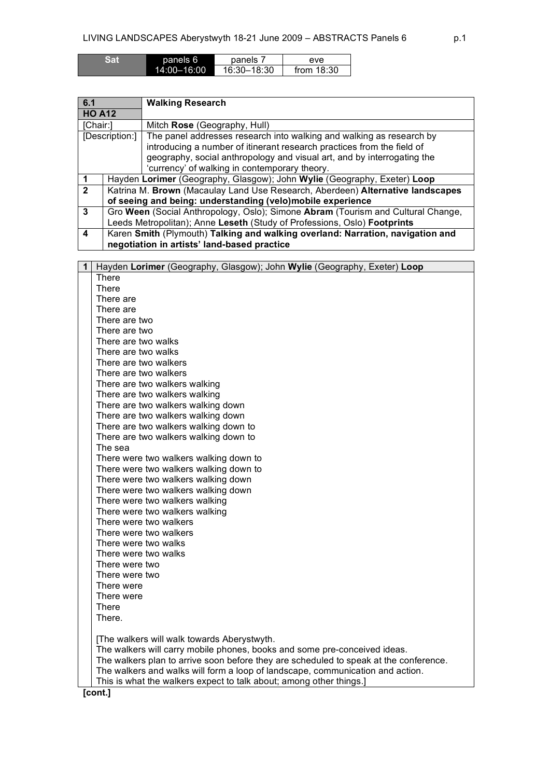| Sar | panels 6        | panels      | eve          |
|-----|-----------------|-------------|--------------|
|     | $14:00 - 16:00$ | 16:30-18:30 | from $18:30$ |

| 6.1                                           |                                                                                  | <b>Walking Research</b>                                                  |  |
|-----------------------------------------------|----------------------------------------------------------------------------------|--------------------------------------------------------------------------|--|
| <b>HO A12</b>                                 |                                                                                  |                                                                          |  |
| [Chair:]                                      |                                                                                  | Mitch Rose (Geography, Hull)                                             |  |
|                                               | [Description:]                                                                   | The panel addresses research into walking and walking as research by     |  |
|                                               |                                                                                  | introducing a number of itinerant research practices from the field of   |  |
|                                               |                                                                                  | geography, social anthropology and visual art, and by interrogating the  |  |
| 'currency' of walking in contemporary theory. |                                                                                  |                                                                          |  |
|                                               |                                                                                  | Hayden Lorimer (Geography, Glasgow); John Wylie (Geography, Exeter) Loop |  |
| $\overline{2}$                                | Katrina M. Brown (Macaulay Land Use Research, Aberdeen) Alternative landscapes   |                                                                          |  |
|                                               | of seeing and being: understanding (velo)mobile experience                       |                                                                          |  |
| 3                                             | Gro Ween (Social Anthropology, Oslo); Simone Abram (Tourism and Cultural Change, |                                                                          |  |
|                                               | Leeds Metropolitan); Anne Leseth (Study of Professions, Oslo) Footprints         |                                                                          |  |
| 4                                             | Karen Smith (Plymouth) Talking and walking overland: Narration, navigation and   |                                                                          |  |
|                                               | negotiation in artists' land-based practice                                      |                                                                          |  |

| Hayden Lorimer (Geography, Glasgow); John Wylie (Geography, Exeter) Loop<br>$\mathbf 1$ |
|-----------------------------------------------------------------------------------------|
| <b>There</b>                                                                            |
| <b>There</b>                                                                            |
| There are                                                                               |
| There are                                                                               |
| There are two                                                                           |
| There are two                                                                           |
| There are two walks                                                                     |
| There are two walks                                                                     |
| There are two walkers                                                                   |
| There are two walkers                                                                   |
| There are two walkers walking                                                           |
| There are two walkers walking                                                           |
| There are two walkers walking down                                                      |
| There are two walkers walking down                                                      |
| There are two walkers walking down to                                                   |
| There are two walkers walking down to                                                   |
| The sea                                                                                 |
| There were two walkers walking down to                                                  |
| There were two walkers walking down to                                                  |
| There were two walkers walking down                                                     |
| There were two walkers walking down                                                     |
| There were two walkers walking                                                          |
| There were two walkers walking                                                          |
| There were two walkers                                                                  |
| There were two walkers                                                                  |
| There were two walks                                                                    |
| There were two walks                                                                    |
| There were two                                                                          |
| There were two                                                                          |
| There were                                                                              |
| There were                                                                              |
| <b>There</b>                                                                            |
| There.                                                                                  |
|                                                                                         |
| [The walkers will walk towards Aberystwyth.                                             |
| The walkers will carry mobile phones, books and some pre-conceived ideas.               |
| The walkers plan to arrive soon before they are scheduled to speak at the conference.   |
| The walkers and walks will form a loop of landscape, communication and action.          |
| This is what the walkers expect to talk about; among other things.]                     |
| [cont.]                                                                                 |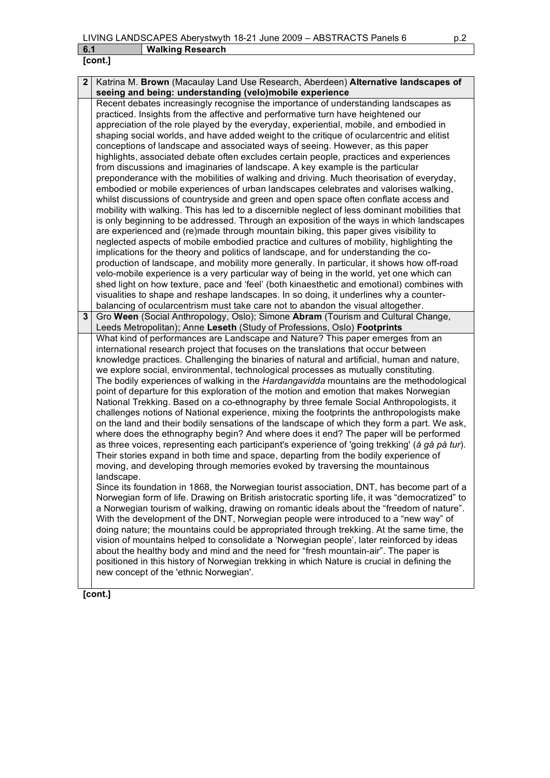| r | ont. | l |
|---|------|---|

| $\mathbf 2$ | Katrina M. Brown (Macaulay Land Use Research, Aberdeen) Alternative landscapes of                       |  |  |
|-------------|---------------------------------------------------------------------------------------------------------|--|--|
|             | seeing and being: understanding (velo)mobile experience                                                 |  |  |
|             | Recent debates increasingly recognise the importance of understanding landscapes as                     |  |  |
|             | practiced. Insights from the affective and performative turn have heightened our                        |  |  |
|             | appreciation of the role played by the everyday, experiential, mobile, and embodied in                  |  |  |
|             | shaping social worlds, and have added weight to the critique of ocularcentric and elitist               |  |  |
|             | conceptions of landscape and associated ways of seeing. However, as this paper                          |  |  |
|             | highlights, associated debate often excludes certain people, practices and experiences                  |  |  |
|             | from discussions and imaginaries of landscape. A key example is the particular                          |  |  |
|             | preponderance with the mobilities of walking and driving. Much theorisation of everyday,                |  |  |
|             | embodied or mobile experiences of urban landscapes celebrates and valorises walking,                    |  |  |
|             | whilst discussions of countryside and green and open space often conflate access and                    |  |  |
|             | mobility with walking. This has led to a discernible neglect of less dominant mobilities that           |  |  |
|             | is only beginning to be addressed. Through an exposition of the ways in which landscapes                |  |  |
|             | are experienced and (re)made through mountain biking, this paper gives visibility to                    |  |  |
|             | neglected aspects of mobile embodied practice and cultures of mobility, highlighting the                |  |  |
|             | implications for the theory and politics of landscape, and for understanding the co-                    |  |  |
|             | production of landscape, and mobility more generally. In particular, it shows how off-road              |  |  |
|             | velo-mobile experience is a very particular way of being in the world, yet one which can                |  |  |
|             | shed light on how texture, pace and 'feel' (both kinaesthetic and emotional) combines with              |  |  |
|             | visualities to shape and reshape landscapes. In so doing, it underlines why a counter-                  |  |  |
|             | balancing of ocularcentrism must take care not to abandon the visual altogether.                        |  |  |
| 3           | Gro Ween (Social Anthropology, Oslo); Simone Abram (Tourism and Cultural Change,                        |  |  |
|             | Leeds Metropolitan); Anne Leseth (Study of Professions, Oslo) Footprints                                |  |  |
|             | What kind of performances are Landscape and Nature? This paper emerges from an                          |  |  |
|             | international research project that focuses on the translations that occur between                      |  |  |
|             | knowledge practices. Challenging the binaries of natural and artificial, human and nature,              |  |  |
|             | we explore social, environmental, technological processes as mutually constituting.                     |  |  |
|             | The bodily experiences of walking in the <i>Hardangavidda</i> mountains are the methodological          |  |  |
|             | point of departure for this exploration of the motion and emotion that makes Norwegian                  |  |  |
|             | National Trekking. Based on a co-ethnography by three female Social Anthropologists, it                 |  |  |
|             | challenges notions of National experience, mixing the footprints the anthropologists make               |  |  |
|             | on the land and their bodily sensations of the landscape of which they form a part. We ask,             |  |  |
|             | where does the ethnography begin? And where does it end? The paper will be performed                    |  |  |
|             | as three voices, representing each participant's experience of 'going trekking' ( <i>à gå på tur</i> ). |  |  |
|             | Their stories expand in both time and space, departing from the bodily experience of                    |  |  |
|             | moving, and developing through memories evoked by traversing the mountainous                            |  |  |
|             | landscape.                                                                                              |  |  |
|             | Since its foundation in 1868, the Norwegian tourist association, DNT, has become part of a              |  |  |
|             | Norwegian form of life. Drawing on British aristocratic sporting life, it was "democratized" to         |  |  |
|             | a Norwegian tourism of walking, drawing on romantic ideals about the "freedom of nature".               |  |  |
|             | With the development of the DNT, Norwegian people were introduced to a "new way" of                     |  |  |
|             | doing nature; the mountains could be appropriated through trekking. At the same time, the               |  |  |
|             | vision of mountains helped to consolidate a 'Norwegian people', later reinforced by ideas               |  |  |
|             | about the healthy body and mind and the need for "fresh mountain-air". The paper is                     |  |  |
|             | positioned in this history of Norwegian trekking in which Nature is crucial in defining the             |  |  |
|             | new concept of the 'ethnic Norwegian'.                                                                  |  |  |
|             |                                                                                                         |  |  |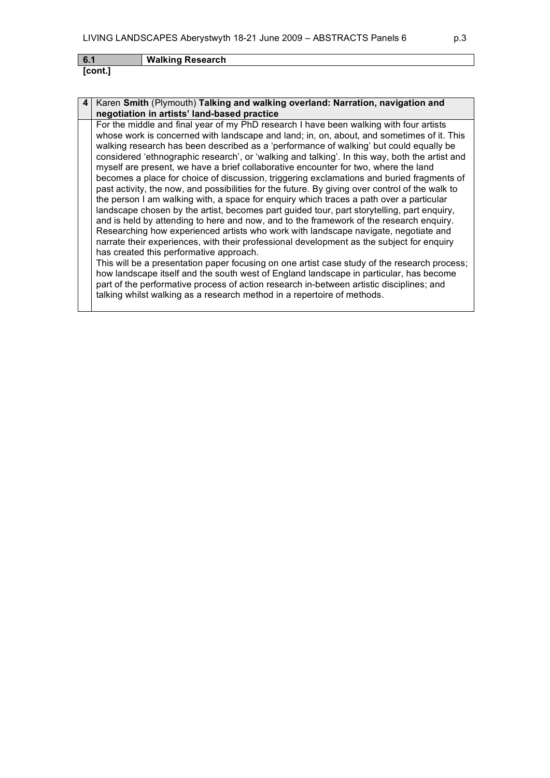| 6.1     | <b>Walking Research</b> |
|---------|-------------------------|
| [cont.] |                         |

| 4 | Karen Smith (Plymouth) Talking and walking overland: Narration, navigation and<br>negotiation in artists' land-based practice                                                                                                                                                                                                                                                                                                                                                                                                                                                                                                                                                                                                                                                                                                                                                                                                                                                                                                                                                                                                                                                             |
|---|-------------------------------------------------------------------------------------------------------------------------------------------------------------------------------------------------------------------------------------------------------------------------------------------------------------------------------------------------------------------------------------------------------------------------------------------------------------------------------------------------------------------------------------------------------------------------------------------------------------------------------------------------------------------------------------------------------------------------------------------------------------------------------------------------------------------------------------------------------------------------------------------------------------------------------------------------------------------------------------------------------------------------------------------------------------------------------------------------------------------------------------------------------------------------------------------|
|   | For the middle and final year of my PhD research I have been walking with four artists<br>whose work is concerned with landscape and land; in, on, about, and sometimes of it. This<br>walking research has been described as a 'performance of walking' but could equally be<br>considered 'ethnographic research', or 'walking and talking'. In this way, both the artist and<br>myself are present, we have a brief collaborative encounter for two, where the land<br>becomes a place for choice of discussion, triggering exclamations and buried fragments of<br>past activity, the now, and possibilities for the future. By giving over control of the walk to<br>the person I am walking with, a space for enquiry which traces a path over a particular<br>landscape chosen by the artist, becomes part guided tour, part storytelling, part enguiry,<br>and is held by attending to here and now, and to the framework of the research enquiry.<br>Researching how experienced artists who work with landscape navigate, negotiate and<br>narrate their experiences, with their professional development as the subject for enquiry<br>has created this performative approach. |
|   | This will be a presentation paper focusing on one artist case study of the research process;<br>how landscape itself and the south west of England landscape in particular, has become<br>part of the performative process of action research in-between artistic disciplines; and                                                                                                                                                                                                                                                                                                                                                                                                                                                                                                                                                                                                                                                                                                                                                                                                                                                                                                        |
|   | talking whilst walking as a research method in a repertoire of methods.                                                                                                                                                                                                                                                                                                                                                                                                                                                                                                                                                                                                                                                                                                                                                                                                                                                                                                                                                                                                                                                                                                                   |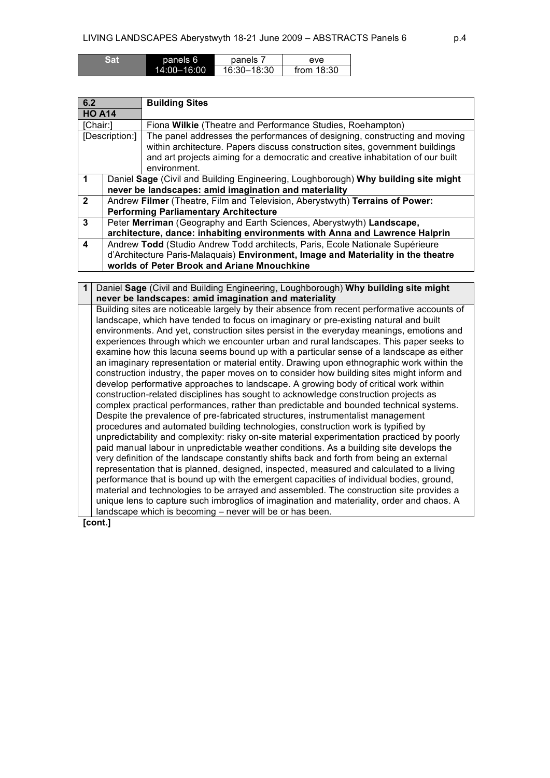| Sat | panels 6        | panels      | eve          |
|-----|-----------------|-------------|--------------|
|     | $14:00 - 16:00$ | 16:30-18:30 | from $18:30$ |

| 6.2<br><b>Building Sites</b> |                                                                                   |                                                                                    |
|------------------------------|-----------------------------------------------------------------------------------|------------------------------------------------------------------------------------|
| <b>HO A14</b>                |                                                                                   |                                                                                    |
| [Chair:]                     |                                                                                   | Fiona Wilkie (Theatre and Performance Studies, Roehampton)                         |
|                              | [Description:]                                                                    | The panel addresses the performances of designing, constructing and moving         |
|                              |                                                                                   | within architecture. Papers discuss construction sites, government buildings       |
|                              |                                                                                   | and art projects aiming for a democratic and creative inhabitation of our built    |
|                              |                                                                                   | environment.                                                                       |
|                              |                                                                                   | Daniel Sage (Civil and Building Engineering, Loughborough) Why building site might |
|                              |                                                                                   | never be landscapes: amid imagination and materiality                              |
| $\overline{2}$               |                                                                                   | Andrew Filmer (Theatre, Film and Television, Aberystwyth) Terrains of Power:       |
|                              |                                                                                   | <b>Performing Parliamentary Architecture</b>                                       |
| 3                            |                                                                                   | Peter Merriman (Geography and Earth Sciences, Aberystwyth) Landscape,              |
|                              | architecture, dance: inhabiting environments with Anna and Lawrence Halprin       |                                                                                    |
| 4                            | Andrew Todd (Studio Andrew Todd architects, Paris, Ecole Nationale Supérieure     |                                                                                    |
|                              | d'Architecture Paris-Malaquais) Environment, Image and Materiality in the theatre |                                                                                    |
|                              | worlds of Peter Brook and Ariane Mnouchkine                                       |                                                                                    |

**1** Daniel **Sage** (Civil and Building Engineering, Loughborough) **Why building site might never be landscapes: amid imagination and materiality** Building sites are noticeable largely by their absence from recent performative accounts of landscape, which have tended to focus on imaginary or pre-existing natural and built environments. And yet, construction sites persist in the everyday meanings, emotions and experiences through which we encounter urban and rural landscapes. This paper seeks to examine how this lacuna seems bound up with a particular sense of a landscape as either an imaginary representation or material entity. Drawing upon ethnographic work within the construction industry, the paper moves on to consider how building sites might inform and develop performative approaches to landscape. A growing body of critical work within construction-related disciplines has sought to acknowledge construction projects as complex practical performances, rather than predictable and bounded technical systems. Despite the prevalence of pre-fabricated structures, instrumentalist management procedures and automated building technologies, construction work is typified by unpredictability and complexity: risky on-site material experimentation practiced by poorly paid manual labour in unpredictable weather conditions. As a building site develops the very definition of the landscape constantly shifts back and forth from being an external representation that is planned, designed, inspected, measured and calculated to a living performance that is bound up with the emergent capacities of individual bodies, ground, material and technologies to be arrayed and assembled. The construction site provides a unique lens to capture such imbroglios of imagination and materiality, order and chaos. A landscape which is becoming – never will be or has been.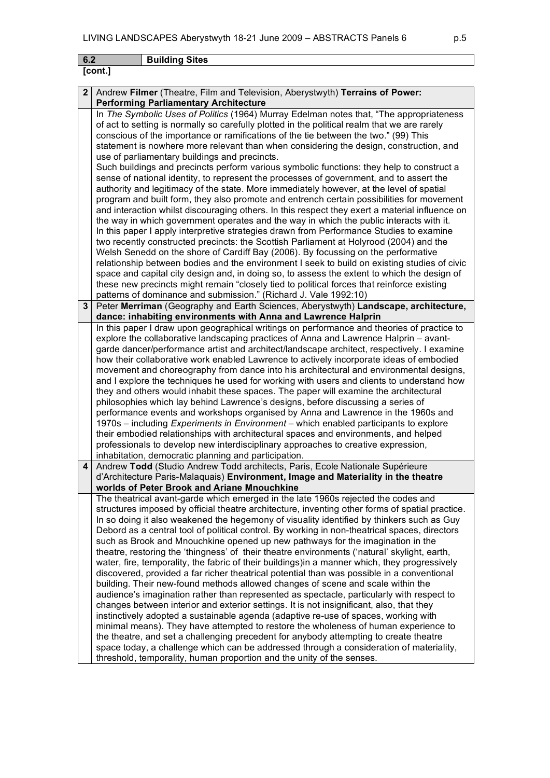| 6.2 | <b>Building Sites</b>                                                                                                                                                           |  |  |  |
|-----|---------------------------------------------------------------------------------------------------------------------------------------------------------------------------------|--|--|--|
|     | [cont.]                                                                                                                                                                         |  |  |  |
|     |                                                                                                                                                                                 |  |  |  |
| 2   | Andrew Filmer (Theatre, Film and Television, Aberystwyth) Terrains of Power:                                                                                                    |  |  |  |
|     | <b>Performing Parliamentary Architecture</b>                                                                                                                                    |  |  |  |
|     | In The Symbolic Uses of Politics (1964) Murray Edelman notes that, "The appropriateness                                                                                         |  |  |  |
|     | of act to setting is normally so carefully plotted in the political realm that we are rarely                                                                                    |  |  |  |
|     | conscious of the importance or ramifications of the tie between the two." (99) This<br>statement is nowhere more relevant than when considering the design, construction, and   |  |  |  |
|     | use of parliamentary buildings and precincts.                                                                                                                                   |  |  |  |
|     | Such buildings and precincts perform various symbolic functions: they help to construct a                                                                                       |  |  |  |
|     | sense of national identity, to represent the processes of government, and to assert the                                                                                         |  |  |  |
|     | authority and legitimacy of the state. More immediately however, at the level of spatial                                                                                        |  |  |  |
|     | program and built form, they also promote and entrench certain possibilities for movement                                                                                       |  |  |  |
|     | and interaction whilst discouraging others. In this respect they exert a material influence on                                                                                  |  |  |  |
|     | the way in which government operates and the way in which the public interacts with it.                                                                                         |  |  |  |
|     | In this paper I apply interpretive strategies drawn from Performance Studies to examine                                                                                         |  |  |  |
|     | two recently constructed precincts: the Scottish Parliament at Holyrood (2004) and the                                                                                          |  |  |  |
|     | Welsh Senedd on the shore of Cardiff Bay (2006). By focussing on the performative                                                                                               |  |  |  |
|     | relationship between bodies and the environment I seek to build on existing studies of civic                                                                                    |  |  |  |
|     | space and capital city design and, in doing so, to assess the extent to which the design of                                                                                     |  |  |  |
|     | these new precincts might remain "closely tied to political forces that reinforce existing                                                                                      |  |  |  |
| 3   | patterns of dominance and submission." (Richard J. Vale 1992:10)<br>Peter Merriman (Geography and Earth Sciences, Aberystwyth) Landscape, architecture,                         |  |  |  |
|     | dance: inhabiting environments with Anna and Lawrence Halprin                                                                                                                   |  |  |  |
|     | In this paper I draw upon geographical writings on performance and theories of practice to                                                                                      |  |  |  |
|     | explore the collaborative landscaping practices of Anna and Lawrence Halprin – avant-                                                                                           |  |  |  |
|     | garde dancer/performance artist and architect/landscape architect, respectively. I examine                                                                                      |  |  |  |
|     | how their collaborative work enabled Lawrence to actively incorporate ideas of embodied                                                                                         |  |  |  |
|     | movement and choreography from dance into his architectural and environmental designs,                                                                                          |  |  |  |
|     | and I explore the techniques he used for working with users and clients to understand how                                                                                       |  |  |  |
|     | they and others would inhabit these spaces. The paper will examine the architectural                                                                                            |  |  |  |
|     | philosophies which lay behind Lawrence's designs, before discussing a series of                                                                                                 |  |  |  |
|     | performance events and workshops organised by Anna and Lawrence in the 1960s and                                                                                                |  |  |  |
|     | 1970s – including Experiments in Environment – which enabled participants to explore                                                                                            |  |  |  |
|     | their embodied relationships with architectural spaces and environments, and helped                                                                                             |  |  |  |
|     | professionals to develop new interdisciplinary approaches to creative expression,                                                                                               |  |  |  |
| 4   | inhabitation, democratic planning and participation.                                                                                                                            |  |  |  |
|     | Andrew Todd (Studio Andrew Todd architects, Paris, Ecole Nationale Supérieure<br>d'Architecture Paris-Malaquais) Environment, Image and Materiality in the theatre              |  |  |  |
|     | worlds of Peter Brook and Ariane Mnouchkine                                                                                                                                     |  |  |  |
|     | The theatrical avant-garde which emerged in the late 1960s rejected the codes and                                                                                               |  |  |  |
|     | structures imposed by official theatre architecture, inventing other forms of spatial practice.                                                                                 |  |  |  |
|     | In so doing it also weakened the hegemony of visuality identified by thinkers such as Guy                                                                                       |  |  |  |
|     | Debord as a central tool of political control. By working in non-theatrical spaces, directors                                                                                   |  |  |  |
|     | such as Brook and Mnouchkine opened up new pathways for the imagination in the                                                                                                  |  |  |  |
|     | theatre, restoring the 'thingness' of their theatre environments ('natural' skylight, earth,                                                                                    |  |  |  |
|     | water, fire, temporality, the fabric of their buildings) in a manner which, they progressively                                                                                  |  |  |  |
|     | discovered, provided a far richer theatrical potential than was possible in a conventional                                                                                      |  |  |  |
|     | building. Their new-found methods allowed changes of scene and scale within the                                                                                                 |  |  |  |
|     | audience's imagination rather than represented as spectacle, particularly with respect to                                                                                       |  |  |  |
|     | changes between interior and exterior settings. It is not insignificant, also, that they<br>instinctively adopted a sustainable agenda (adaptive re-use of spaces, working with |  |  |  |
|     | minimal means). They have attempted to restore the wholeness of human experience to                                                                                             |  |  |  |
|     | the theatre, and set a challenging precedent for anybody attempting to create theatre                                                                                           |  |  |  |
|     | cases to day a challenge which can be addressed through a consideration of materiality                                                                                          |  |  |  |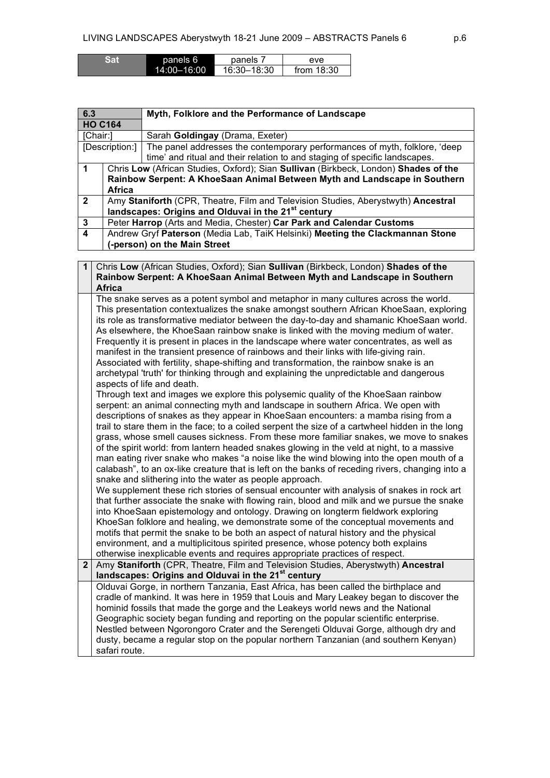| Sat | panels 6        | panels      | eve          |
|-----|-----------------|-------------|--------------|
|     | $14:00 - 16:00$ | 16:30-18:30 | from $18:30$ |

| 6.3            |                                                                               | Myth, Folklore and the Performance of Landscape                                     |  |
|----------------|-------------------------------------------------------------------------------|-------------------------------------------------------------------------------------|--|
| <b>HO C164</b> |                                                                               |                                                                                     |  |
| [Chair:]       |                                                                               | Sarah Goldingay (Drama, Exeter)                                                     |  |
|                | [Description:]                                                                | The panel addresses the contemporary performances of myth, folklore, 'deep          |  |
|                |                                                                               | time' and ritual and their relation to and staging of specific landscapes.          |  |
| 1              |                                                                               | Chris Low (African Studies, Oxford); Sian Sullivan (Birkbeck, London) Shades of the |  |
|                |                                                                               | Rainbow Serpent: A KhoeSaan Animal Between Myth and Landscape in Southern           |  |
|                | <b>Africa</b>                                                                 |                                                                                     |  |
| $\overline{2}$ |                                                                               | Amy Staniforth (CPR, Theatre, Film and Television Studies, Aberystwyth) Ancestral   |  |
|                |                                                                               | landscapes: Origins and Olduvai in the 21 <sup>st</sup> century                     |  |
| 3              |                                                                               | Peter Harrop (Arts and Media, Chester) Car Park and Calendar Customs                |  |
| 4              | Andrew Gryf Paterson (Media Lab, TaiK Helsinki) Meeting the Clackmannan Stone |                                                                                     |  |
|                | (-person) on the Main Street                                                  |                                                                                     |  |

| $\mathbf 1$  | Chris Low (African Studies, Oxford); Sian Sullivan (Birkbeck, London) Shades of the                                                                               |  |  |
|--------------|-------------------------------------------------------------------------------------------------------------------------------------------------------------------|--|--|
|              | Rainbow Serpent: A KhoeSaan Animal Between Myth and Landscape in Southern                                                                                         |  |  |
|              | <b>Africa</b>                                                                                                                                                     |  |  |
|              | The snake serves as a potent symbol and metaphor in many cultures across the world.                                                                               |  |  |
|              | This presentation contextualizes the snake amongst southern African KhoeSaan, exploring                                                                           |  |  |
|              | its role as transformative mediator between the day-to-day and shamanic KhoeSaan world.                                                                           |  |  |
|              | As elsewhere, the KhoeSaan rainbow snake is linked with the moving medium of water.                                                                               |  |  |
|              | Frequently it is present in places in the landscape where water concentrates, as well as                                                                          |  |  |
|              | manifest in the transient presence of rainbows and their links with life-giving rain.                                                                             |  |  |
|              | Associated with fertility, shape-shifting and transformation, the rainbow snake is an                                                                             |  |  |
|              | archetypal 'truth' for thinking through and explaining the unpredictable and dangerous                                                                            |  |  |
|              | aspects of life and death.                                                                                                                                        |  |  |
|              | Through text and images we explore this polysemic quality of the KhoeSaan rainbow                                                                                 |  |  |
|              | serpent: an animal connecting myth and landscape in southern Africa. We open with                                                                                 |  |  |
|              | descriptions of snakes as they appear in KhoeSaan encounters: a mamba rising from a                                                                               |  |  |
|              | trail to stare them in the face; to a coiled serpent the size of a cartwheel hidden in the long                                                                   |  |  |
|              | grass, whose smell causes sickness. From these more familiar snakes, we move to snakes                                                                            |  |  |
|              | of the spirit world: from lantern headed snakes glowing in the veld at night, to a massive                                                                        |  |  |
|              | man eating river snake who makes "a noise like the wind blowing into the open mouth of a                                                                          |  |  |
|              | calabash", to an ox-like creature that is left on the banks of receding rivers, changing into a                                                                   |  |  |
|              | snake and slithering into the water as people approach.                                                                                                           |  |  |
|              | We supplement these rich stories of sensual encounter with analysis of snakes in rock art                                                                         |  |  |
|              | that further associate the snake with flowing rain, blood and milk and we pursue the snake                                                                        |  |  |
|              | into KhoeSaan epistemology and ontology. Drawing on longterm fieldwork exploring                                                                                  |  |  |
|              | KhoeSan folklore and healing, we demonstrate some of the conceptual movements and                                                                                 |  |  |
|              | motifs that permit the snake to be both an aspect of natural history and the physical                                                                             |  |  |
|              | environment, and a multiplicitous spirited presence, whose potency both explains                                                                                  |  |  |
| $\mathbf{2}$ | otherwise inexplicable events and requires appropriate practices of respect.<br>Amy Staniforth (CPR, Theatre, Film and Television Studies, Aberystwyth) Ancestral |  |  |
|              | landscapes: Origins and Olduvai in the 21 <sup>st</sup> century                                                                                                   |  |  |
|              | Olduvai Gorge, in northern Tanzania, East Africa, has been called the birthplace and                                                                              |  |  |
|              | cradle of mankind. It was here in 1959 that Louis and Mary Leakey began to discover the                                                                           |  |  |
|              | hominid fossils that made the gorge and the Leakeys world news and the National                                                                                   |  |  |
|              | Geographic society began funding and reporting on the popular scientific enterprise.                                                                              |  |  |
|              | Nestled between Ngorongoro Crater and the Serengeti Olduvai Gorge, although dry and                                                                               |  |  |
|              | dusty, became a regular stop on the popular northern Tanzanian (and southern Kenyan)                                                                              |  |  |
|              | safari route.                                                                                                                                                     |  |  |
|              |                                                                                                                                                                   |  |  |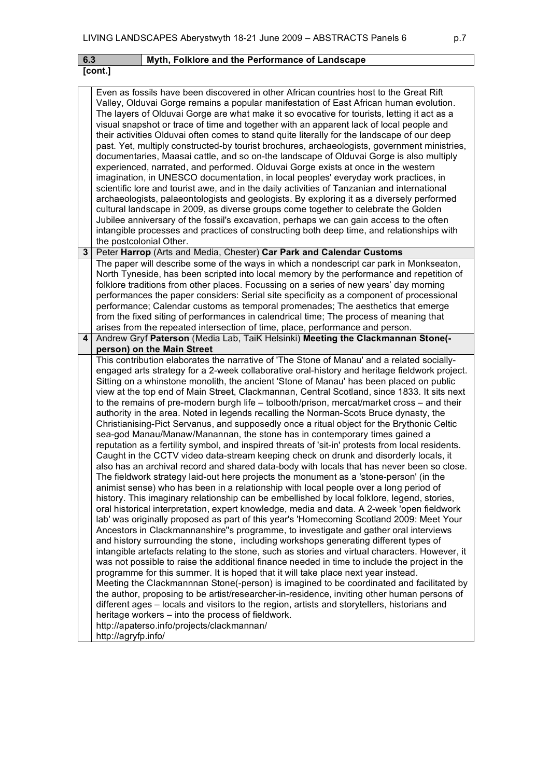|                | [cont.]                                                                                                                                                                                                                                                                                                                                                                                                                                                                                                                                                                                                                                                                                                                                                                                                                                                                                                                                                                                                                                                                                                                                                                                                                                                                                                                                                                                                                                                                                                                                                                                                                                                                                                                                                                                                                                                                                                                                                                                                                                                                                                                                                                                                                                                                                                                                                                                                                                                      |  |  |  |
|----------------|--------------------------------------------------------------------------------------------------------------------------------------------------------------------------------------------------------------------------------------------------------------------------------------------------------------------------------------------------------------------------------------------------------------------------------------------------------------------------------------------------------------------------------------------------------------------------------------------------------------------------------------------------------------------------------------------------------------------------------------------------------------------------------------------------------------------------------------------------------------------------------------------------------------------------------------------------------------------------------------------------------------------------------------------------------------------------------------------------------------------------------------------------------------------------------------------------------------------------------------------------------------------------------------------------------------------------------------------------------------------------------------------------------------------------------------------------------------------------------------------------------------------------------------------------------------------------------------------------------------------------------------------------------------------------------------------------------------------------------------------------------------------------------------------------------------------------------------------------------------------------------------------------------------------------------------------------------------------------------------------------------------------------------------------------------------------------------------------------------------------------------------------------------------------------------------------------------------------------------------------------------------------------------------------------------------------------------------------------------------------------------------------------------------------------------------------------------------|--|--|--|
|                | Even as fossils have been discovered in other African countries host to the Great Rift<br>Valley, Olduvai Gorge remains a popular manifestation of East African human evolution.<br>The layers of Olduvai Gorge are what make it so evocative for tourists, letting it act as a<br>visual snapshot or trace of time and together with an apparent lack of local people and<br>their activities Olduvai often comes to stand quite literally for the landscape of our deep<br>past. Yet, multiply constructed-by tourist brochures, archaeologists, government ministries,<br>documentaries, Maasai cattle, and so on-the landscape of Olduvai Gorge is also multiply<br>experienced, narrated, and performed. Olduvai Gorge exists at once in the western<br>imagination, in UNESCO documentation, in local peoples' everyday work practices, in<br>scientific lore and tourist awe, and in the daily activities of Tanzanian and international<br>archaeologists, palaeontologists and geologists. By exploring it as a diversely performed<br>cultural landscape in 2009, as diverse groups come together to celebrate the Golden<br>Jubilee anniversary of the fossil's excavation, perhaps we can gain access to the often<br>intangible processes and practices of constructing both deep time, and relationships with<br>the postcolonial Other.                                                                                                                                                                                                                                                                                                                                                                                                                                                                                                                                                                                                                                                                                                                                                                                                                                                                                                                                                                                                                                                                                                       |  |  |  |
| 3 <sup>1</sup> | Peter Harrop (Arts and Media, Chester) Car Park and Calendar Customs                                                                                                                                                                                                                                                                                                                                                                                                                                                                                                                                                                                                                                                                                                                                                                                                                                                                                                                                                                                                                                                                                                                                                                                                                                                                                                                                                                                                                                                                                                                                                                                                                                                                                                                                                                                                                                                                                                                                                                                                                                                                                                                                                                                                                                                                                                                                                                                         |  |  |  |
|                | The paper will describe some of the ways in which a nondescript car park in Monkseaton,<br>North Tyneside, has been scripted into local memory by the performance and repetition of<br>folklore traditions from other places. Focussing on a series of new years' day morning<br>performances the paper considers: Serial site specificity as a component of processional<br>performance; Calendar customs as temporal promenades; The aesthetics that emerge<br>from the fixed siting of performances in calendrical time; The process of meaning that<br>arises from the repeated intersection of time, place, performance and person.                                                                                                                                                                                                                                                                                                                                                                                                                                                                                                                                                                                                                                                                                                                                                                                                                                                                                                                                                                                                                                                                                                                                                                                                                                                                                                                                                                                                                                                                                                                                                                                                                                                                                                                                                                                                                     |  |  |  |
| $\overline{4}$ | Andrew Gryf Paterson (Media Lab, TaiK Helsinki) Meeting the Clackmannan Stone(-                                                                                                                                                                                                                                                                                                                                                                                                                                                                                                                                                                                                                                                                                                                                                                                                                                                                                                                                                                                                                                                                                                                                                                                                                                                                                                                                                                                                                                                                                                                                                                                                                                                                                                                                                                                                                                                                                                                                                                                                                                                                                                                                                                                                                                                                                                                                                                              |  |  |  |
|                | person) on the Main Street<br>This contribution elaborates the narrative of 'The Stone of Manau' and a related socially-<br>engaged arts strategy for a 2-week collaborative oral-history and heritage fieldwork project.<br>Sitting on a whinstone monolith, the ancient 'Stone of Manau' has been placed on public<br>view at the top end of Main Street, Clackmannan, Central Scotland, since 1833. It sits next<br>to the remains of pre-modern burgh life - tolbooth/prison, mercat/market cross - and their<br>authority in the area. Noted in legends recalling the Norman-Scots Bruce dynasty, the<br>Christianising-Pict Servanus, and supposedly once a ritual object for the Brythonic Celtic<br>sea-god Manau/Manaw/Manannan, the stone has in contemporary times gained a<br>reputation as a fertility symbol, and inspired threats of 'sit-in' protests from local residents.<br>Caught in the CCTV video data-stream keeping check on drunk and disorderly locals, it<br>also has an archival record and shared data-body with locals that has never been so close.<br>The fieldwork strategy laid-out here projects the monument as a 'stone-person' (in the<br>animist sense) who has been in a relationship with local people over a long period of<br>history. This imaginary relationship can be embellished by local folklore, legend, stories,<br>oral historical interpretation, expert knowledge, media and data. A 2-week 'open fieldwork<br>lab' was originally proposed as part of this year's 'Homecoming Scotland 2009: Meet Your<br>Ancestors in Clackmannanshire"s programme, to investigate and gather oral interviews<br>and history surrounding the stone, including workshops generating different types of<br>intangible artefacts relating to the stone, such as stories and virtual characters. However, it<br>was not possible to raise the additional finance needed in time to include the project in the<br>programme for this summer. It is hoped that it will take place next year instead.<br>Meeting the Clackmannnan Stone(-person) is imagined to be coordinated and facilitated by<br>the author, proposing to be artist/researcher-in-residence, inviting other human persons of<br>different ages – locals and visitors to the region, artists and storytellers, historians and<br>heritage workers – into the process of fieldwork.<br>http://apaterso.info/projects/clackmannan/<br>http://agryfp.info/ |  |  |  |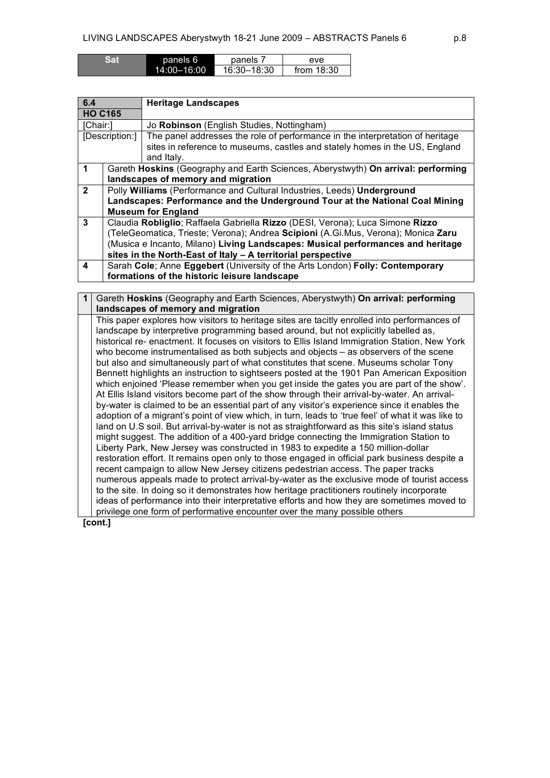| Sat | panels 6        | panels      | eve          |
|-----|-----------------|-------------|--------------|
|     | $14:00 - 16:00$ | 16:30-18:30 | from $18:30$ |

| 6.4            |                                                                                   | <b>Heritage Landscapes</b>                                                                                                                                   |  |  |
|----------------|-----------------------------------------------------------------------------------|--------------------------------------------------------------------------------------------------------------------------------------------------------------|--|--|
| <b>HO C165</b> |                                                                                   |                                                                                                                                                              |  |  |
| [Chair:]       |                                                                                   | Jo Robinson (English Studies, Nottingham)                                                                                                                    |  |  |
| [Description:] |                                                                                   | The panel addresses the role of performance in the interpretation of heritage<br>sites in reference to museums, castles and stately homes in the US, England |  |  |
|                |                                                                                   | and Italy.                                                                                                                                                   |  |  |
| 1              |                                                                                   | Gareth Hoskins (Geography and Earth Sciences, Aberystwyth) On arrival: performing                                                                            |  |  |
|                | landscapes of memory and migration                                                |                                                                                                                                                              |  |  |
| $\overline{2}$ | Polly Williams (Performance and Cultural Industries, Leeds) Underground           |                                                                                                                                                              |  |  |
|                | Landscapes: Performance and the Underground Tour at the National Coal Mining      |                                                                                                                                                              |  |  |
|                | <b>Museum for England</b>                                                         |                                                                                                                                                              |  |  |
| 3              | Claudia Robliglio; Raffaela Gabriella Rizzo (DESI, Verona); Luca Simone Rizzo     |                                                                                                                                                              |  |  |
|                | (TeleGeomatica, Trieste; Verona); Andrea Scipioni (A.Gi.Mus, Verona); Monica Zaru |                                                                                                                                                              |  |  |
|                | (Musica e Incanto, Milano) Living Landscapes: Musical performances and heritage   |                                                                                                                                                              |  |  |
|                |                                                                                   | sites in the North-East of Italy - A territorial perspective                                                                                                 |  |  |
| 4              |                                                                                   | Sarah Cole; Anne Eggebert (University of the Arts London) Folly: Contemporary                                                                                |  |  |
|                | formations of the historic leisure landscape                                      |                                                                                                                                                              |  |  |

**1** Gareth **Hoskins** (Geography and Earth Sciences, Aberystwyth) **On arrival: performing landscapes of memory and migration** This paper explores how visitors to heritage sites are tacitly enrolled into performances of landscape by interpretive programming based around, but not explicitly labelled as, historical re- enactment. It focuses on visitors to Ellis Island Immigration Station, New York who become instrumentalised as both subjects and objects – as observers of the scene but also and simultaneously part of what constitutes that scene. Museums scholar Tony Bennett highlights an instruction to sightseers posted at the 1901 Pan American Exposition which enjoined 'Please remember when you get inside the gates you are part of the show'. At Ellis Island visitors become part of the show through their arrival-by-water. An arrivalby-water is claimed to be an essential part of any visitor's experience since it enables the adoption of a migrant's point of view which, in turn, leads to 'true feel' of what it was like to land on U.S soil. But arrival-by-water is not as straightforward as this site's island status might suggest. The addition of a 400-yard bridge connecting the Immigration Station to Liberty Park, New Jersey was constructed in 1983 to expedite a 150 million-dollar restoration effort. It remains open only to those engaged in official park business despite a recent campaign to allow New Jersey citizens pedestrian access. The paper tracks numerous appeals made to protect arrival-by-water as the exclusive mode of tourist access to the site. In doing so it demonstrates how heritage practitioners routinely incorporate ideas of performance into their interpretative efforts and how they are sometimes moved to privilege one form of performative encounter over the many possible others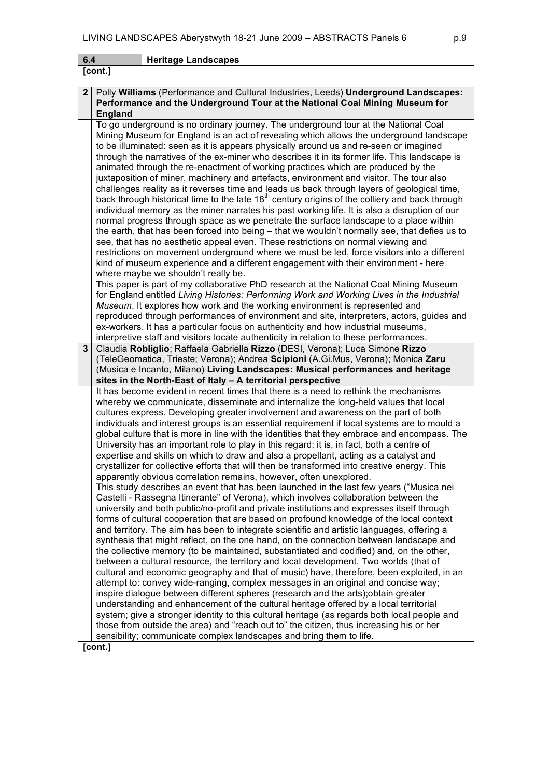| Heritage Landscapes<br>6.4 |
|----------------------------|
|----------------------------|

## **[cont.]**

## **2** Polly **Williams** (Performance and Cultural Industries, Leeds) **Underground Landscapes: Performance and the Underground Tour at the National Coal Mining Museum for England** To go underground is no ordinary journey. The underground tour at the National Coal

Mining Museum for England is an act of revealing which allows the underground landscape to be illuminated: seen as it is appears physically around us and re-seen or imagined through the narratives of the ex-miner who describes it in its former life. This landscape is animated through the re-enactment of working practices which are produced by the juxtaposition of miner, machinery and artefacts, environment and visitor. The tour also challenges reality as it reverses time and leads us back through layers of geological time, back through historical time to the late  $18<sup>th</sup>$  century origins of the colliery and back through individual memory as the miner narrates his past working life. It is also a disruption of our normal progress through space as we penetrate the surface landscape to a place within the earth, that has been forced into being – that we wouldn't normally see, that defies us to see, that has no aesthetic appeal even. These restrictions on normal viewing and restrictions on movement underground where we must be led, force visitors into a different kind of museum experience and a different engagement with their environment - here where maybe we shouldn't really be. This paper is part of my collaborative PhD research at the National Coal Mining Museum for England entitled *Living Histories: Performing Work and Working Lives in the Industrial Museum*. It explores how work and the working environment is represented and

reproduced through performances of environment and site, interpreters, actors, guides and ex-workers. It has a particular focus on authenticity and how industrial museums, interpretive staff and visitors locate authenticity in relation to these performances.

## **3** Claudia **Robliglio**; Raffaela Gabriella **Rizzo** (DESI, Verona); Luca Simone **Rizzo** (TeleGeomatica, Trieste; Verona); Andrea **Scipioni** (A.Gi.Mus, Verona); Monica **Zaru** (Musica e Incanto, Milano) **Living Landscapes: Musical performances and heritage sites in the North-East of Italy – A territorial perspective**

It has become evident in recent times that there is a need to rethink the mechanisms whereby we communicate, disseminate and internalize the long-held values that local cultures express. Developing greater involvement and awareness on the part of both individuals and interest groups is an essential requirement if local systems are to mould a global culture that is more in line with the identities that they embrace and encompass. The University has an important role to play in this regard: it is, in fact, both a centre of expertise and skills on which to draw and also a propellant, acting as a catalyst and crystallizer for collective efforts that will then be transformed into creative energy. This apparently obvious correlation remains, however, often unexplored.

This study describes an event that has been launched in the last few years ("Musica nei Castelli - Rassegna Itinerante" of Verona), which involves collaboration between the university and both public/no-profit and private institutions and expresses itself through forms of cultural cooperation that are based on profound knowledge of the local context and territory. The aim has been to integrate scientific and artistic languages, offering a synthesis that might reflect, on the one hand, on the connection between landscape and the collective memory (to be maintained, substantiated and codified) and, on the other, between a cultural resource, the territory and local development. Two worlds (that of cultural and economic geography and that of music) have, therefore, been exploited, in an attempt to: convey wide-ranging, complex messages in an original and concise way; inspire dialogue between different spheres (research and the arts);obtain greater understanding and enhancement of the cultural heritage offered by a local territorial system; give a stronger identity to this cultural heritage (as regards both local people and those from outside the area) and "reach out to" the citizen, thus increasing his or her sensibility; communicate complex landscapes and bring them to life.